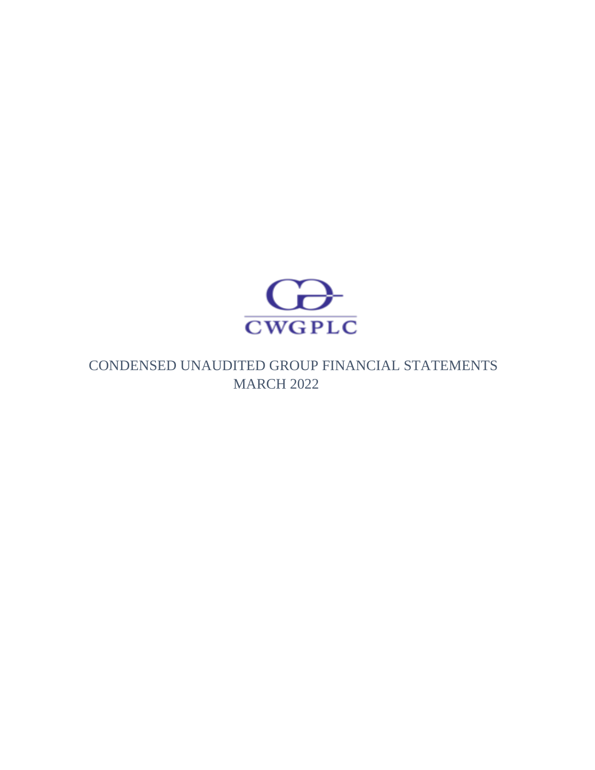

# CONDENSED UNAUDITED GROUP FINANCIAL STATEMENTS **MARCH 2022**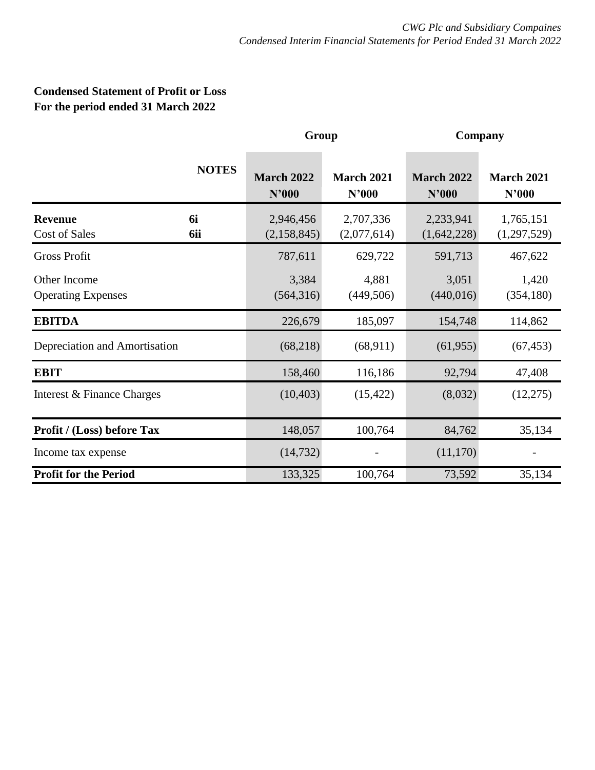# **Condensed Statement of Profit or Loss For the period ended 31 March 2022**

|                                           |              | Group                      |                            | <b>Company</b>             |                            |  |
|-------------------------------------------|--------------|----------------------------|----------------------------|----------------------------|----------------------------|--|
|                                           | <b>NOTES</b> | <b>March 2022</b><br>N'000 | <b>March 2021</b><br>N'000 | <b>March 2022</b><br>N'000 | <b>March 2021</b><br>N'000 |  |
| <b>Revenue</b><br><b>Cost of Sales</b>    | 6i<br>6ii    | 2,946,456<br>(2,158,845)   | 2,707,336<br>(2,077,614)   | 2,233,941<br>(1,642,228)   | 1,765,151<br>(1,297,529)   |  |
| <b>Gross Profit</b>                       |              | 787,611                    | 629,722                    | 591,713                    | 467,622                    |  |
| Other Income<br><b>Operating Expenses</b> |              | 3,384<br>(564,316)         | 4,881<br>(449, 506)        | 3,051<br>(440,016)         | 1,420<br>(354, 180)        |  |
| <b>EBITDA</b>                             |              | 226,679                    | 185,097                    | 154,748                    | 114,862                    |  |
| Depreciation and Amortisation             |              | (68,218)                   | (68,911)                   | (61, 955)                  | (67, 453)                  |  |
| <b>EBIT</b>                               |              | 158,460                    | 116,186                    | 92,794                     | 47,408                     |  |
| Interest & Finance Charges                |              | (10, 403)                  | (15, 422)                  | (8,032)                    | (12,275)                   |  |
| Profit / (Loss) before Tax                |              | 148,057                    | 100,764                    | 84,762                     | 35,134                     |  |
| Income tax expense                        |              | (14, 732)                  |                            | (11,170)                   |                            |  |
| <b>Profit for the Period</b>              |              | 133,325                    | 100,764                    | 73,592                     | 35,134                     |  |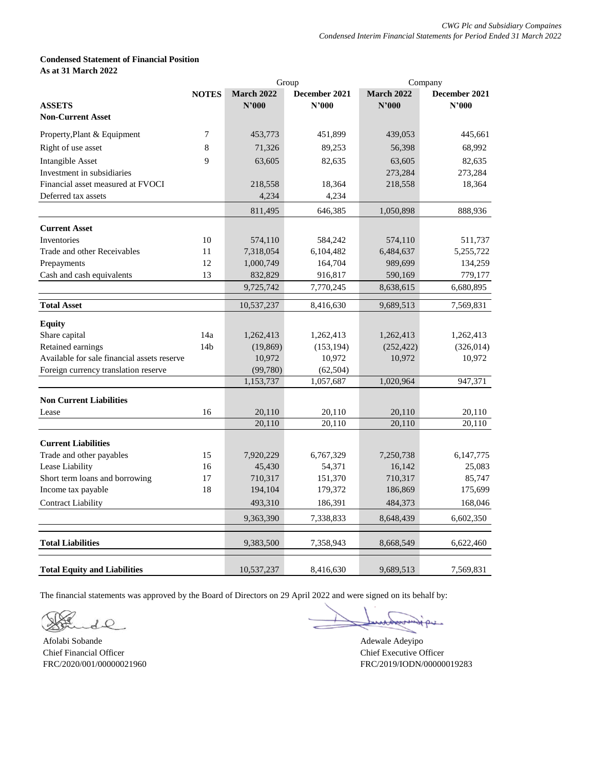# **Condensed Statement of Financial Position As at 31 March 2022**

|                                             |                 |                   | Group         | Company                                                                                                                                                                                                                                                                                                               |               |  |
|---------------------------------------------|-----------------|-------------------|---------------|-----------------------------------------------------------------------------------------------------------------------------------------------------------------------------------------------------------------------------------------------------------------------------------------------------------------------|---------------|--|
|                                             | <b>NOTES</b>    | <b>March 2022</b> | December 2021 | <b>March 2022</b>                                                                                                                                                                                                                                                                                                     | December 2021 |  |
| <b>ASSETS</b>                               |                 | N'000             | N'000         | N'000                                                                                                                                                                                                                                                                                                                 | N'000         |  |
| <b>Non-Current Asset</b>                    |                 |                   |               | 439,053<br>56,398<br>63,605<br>273,284<br>218,558<br>1,050,898<br>574,110<br>6,484,637<br>989,699<br>590,169<br>8,638,615<br>9,689,513<br>1,262,413<br>1,262,413<br>(252, 422)<br>10,972<br>1,020,964<br>20,110<br>20,110<br>7,250,738<br>6,147,775<br>16,142<br>25,083<br>710,317<br>186,869<br>484,373<br>8,648,439 |               |  |
| Property, Plant & Equipment                 | 7               | 453,773           | 451,899       |                                                                                                                                                                                                                                                                                                                       | 445,661       |  |
| Right of use asset                          | 8               | 71,326            | 89,253        |                                                                                                                                                                                                                                                                                                                       | 68,992        |  |
| <b>Intangible Asset</b>                     | 9               | 63,605            | 82,635        |                                                                                                                                                                                                                                                                                                                       | 82,635        |  |
| Investment in subsidiaries                  |                 |                   |               |                                                                                                                                                                                                                                                                                                                       | 273,284       |  |
| Financial asset measured at FVOCI           |                 | 218,558           | 18,364        |                                                                                                                                                                                                                                                                                                                       | 18,364        |  |
| Deferred tax assets                         |                 | 4,234             | 4,234         |                                                                                                                                                                                                                                                                                                                       |               |  |
|                                             |                 | 811,495           | 646,385       |                                                                                                                                                                                                                                                                                                                       | 888,936       |  |
| <b>Current Asset</b>                        |                 |                   |               |                                                                                                                                                                                                                                                                                                                       |               |  |
| Inventories                                 | 10              | 574,110           | 584,242       |                                                                                                                                                                                                                                                                                                                       | 511,737       |  |
| Trade and other Receivables                 | 11              | 7,318,054         | 6,104,482     |                                                                                                                                                                                                                                                                                                                       | 5,255,722     |  |
| Prepayments                                 | 12              | 1,000,749         | 164,704       |                                                                                                                                                                                                                                                                                                                       | 134,259       |  |
| Cash and cash equivalents                   | 13              | 832,829           | 916,817       |                                                                                                                                                                                                                                                                                                                       | 779,177       |  |
|                                             |                 | 9,725,742         | 7,770,245     |                                                                                                                                                                                                                                                                                                                       | 6,680,895     |  |
| <b>Total Asset</b>                          |                 | 10,537,237        | 8,416,630     |                                                                                                                                                                                                                                                                                                                       | 7,569,831     |  |
| <b>Equity</b>                               |                 |                   |               |                                                                                                                                                                                                                                                                                                                       |               |  |
| Share capital                               | 14a             | 1,262,413         | 1,262,413     |                                                                                                                                                                                                                                                                                                                       |               |  |
| Retained earnings                           | 14 <sub>b</sub> | (19, 869)         | (153, 194)    |                                                                                                                                                                                                                                                                                                                       | (326, 014)    |  |
| Available for sale financial assets reserve |                 | 10,972            | 10,972        |                                                                                                                                                                                                                                                                                                                       | 10,972        |  |
| Foreign currency translation reserve        |                 | (99,780)          | (62, 504)     |                                                                                                                                                                                                                                                                                                                       |               |  |
|                                             |                 | 1,153,737         | 1,057,687     |                                                                                                                                                                                                                                                                                                                       | 947,371       |  |
| <b>Non Current Liabilities</b>              |                 |                   |               |                                                                                                                                                                                                                                                                                                                       |               |  |
| Lease                                       | 16              | 20,110            | 20,110        |                                                                                                                                                                                                                                                                                                                       | 20,110        |  |
|                                             |                 | 20,110            | 20,110        |                                                                                                                                                                                                                                                                                                                       | 20,110        |  |
| <b>Current Liabilities</b>                  |                 |                   |               |                                                                                                                                                                                                                                                                                                                       |               |  |
| Trade and other payables                    | 15              | 7,920,229         | 6,767,329     |                                                                                                                                                                                                                                                                                                                       |               |  |
| Lease Liability                             | 16              | 45,430            | 54,371        |                                                                                                                                                                                                                                                                                                                       |               |  |
| Short term loans and borrowing              | 17              | 710,317           | 151,370       |                                                                                                                                                                                                                                                                                                                       | 85,747        |  |
| Income tax payable                          | 18              | 194,104           | 179,372       |                                                                                                                                                                                                                                                                                                                       | 175,699       |  |
| <b>Contract Liability</b>                   |                 | 493,310           | 186,391       |                                                                                                                                                                                                                                                                                                                       | 168,046       |  |
|                                             |                 | 9,363,390         | 7,338,833     |                                                                                                                                                                                                                                                                                                                       | 6,602,350     |  |
|                                             |                 |                   |               |                                                                                                                                                                                                                                                                                                                       |               |  |
| <b>Total Liabilities</b>                    |                 | 9,383,500         | 7,358,943     | 8,668,549                                                                                                                                                                                                                                                                                                             | 6,622,460     |  |
| <b>Total Equity and Liabilities</b>         |                 | 10,537,237        | 8,416,630     | 9,689,513                                                                                                                                                                                                                                                                                                             | 7,569,831     |  |

The financial statements was approved by the Board of Directors on 29 April 2022 and were signed on its behalf by:

 $\mathcal{Q}$ 

Afolabi Sobande **Adewale Adexistic** Adewale Adeyipo Chief Financial Officer Chief Executive Officer

dipu. Aldroom

FRC/2020/001/00000021960 FRC/2019/IODN/00000019283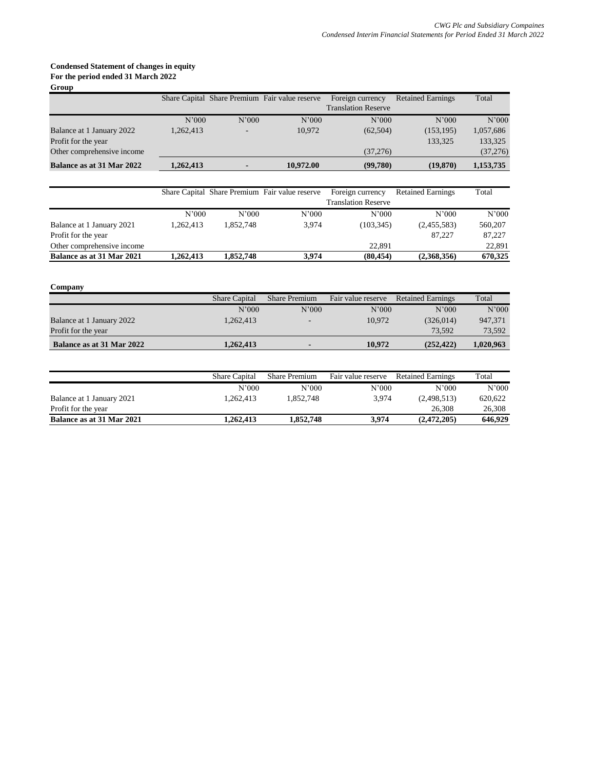# **Condensed Statement of changes in equity For the period ended 31 March 2022 Group**

|                            |           |       | Share Capital Share Premium Fair value reserve | Foreign currency           | <b>Retained Earnings</b> | Total     |
|----------------------------|-----------|-------|------------------------------------------------|----------------------------|--------------------------|-----------|
|                            |           |       |                                                | <b>Translation Reserve</b> |                          |           |
|                            | N'000     | N'000 | N'000                                          | N'000                      | N'000                    | N'000     |
| Balance at 1 January 2022  | 1,262,413 |       | 10,972                                         | (62, 504)                  | (153, 195)               | 1,057,686 |
| Profit for the year        |           |       |                                                |                            | 133,325                  | 133,325   |
| Other comprehensive income |           |       |                                                | (37,276)                   |                          | (37,276)  |
| Balance as at 31 Mar 2022  | 1,262,413 |       | 10,972.00                                      | (99,780)                   | (19,870)                 | 1,153,735 |
|                            |           |       |                                                |                            |                          |           |

|                                  |           |           | Share Capital Share Premium Fair value reserve | Foreign currency           | <b>Retained Earnings</b> | Total   |
|----------------------------------|-----------|-----------|------------------------------------------------|----------------------------|--------------------------|---------|
|                                  |           |           |                                                | <b>Translation Reserve</b> |                          |         |
|                                  | N'000     | N'000     | N'000                                          | N'000                      | N'000                    | N'000   |
| Balance at 1 January 2021        | 1,262,413 | 1,852,748 | 3,974                                          | (103, 345)                 | (2,455,583)              | 560,207 |
| Profit for the year              |           |           |                                                |                            | 87,227                   | 87,227  |
| Other comprehensive income       |           |           |                                                | 22,891                     |                          | 22,891  |
| <b>Balance as at 31 Mar 2021</b> | 1,262,413 | 1,852,748 | 3,974                                          | (80, 454)                  | (2,368,356)              | 670,325 |

| Company |  |
|---------|--|
|         |  |

|                           | <b>Share Capital</b> | <b>Share Premium</b> | Fair value reserve | <b>Retained Earnings</b> | Total     |
|---------------------------|----------------------|----------------------|--------------------|--------------------------|-----------|
|                           | N'000                | N'000                | N'000              | N'000                    | N'000     |
| Balance at 1 January 2022 | 1,262,413            |                      | 10,972             | (326, 014)               | 947,371   |
| Profit for the year       |                      |                      |                    | 73,592                   | 73,592    |
| Balance as at 31 Mar 2022 | 1,262,413            |                      | 10,972             | (252, 422)               | 1,020,963 |

|                           | <b>Share Capital</b> | <b>Share Premium</b> | Fair value reserve | <b>Retained Earnings</b> | Total   |
|---------------------------|----------------------|----------------------|--------------------|--------------------------|---------|
|                           | N'000                | N'000                | $\mathrm{N'000}$   | N'000                    | N'000   |
| Balance at 1 January 2021 | 1,262,413            | 1,852,748            | 3,974              | (2,498,513)              | 620,622 |
| Profit for the year       |                      |                      |                    | 26,308                   | 26,308  |
| Balance as at 31 Mar 2021 | 1,262,413            | 1,852,748            | 3,974              | (2,472,205)              | 646,929 |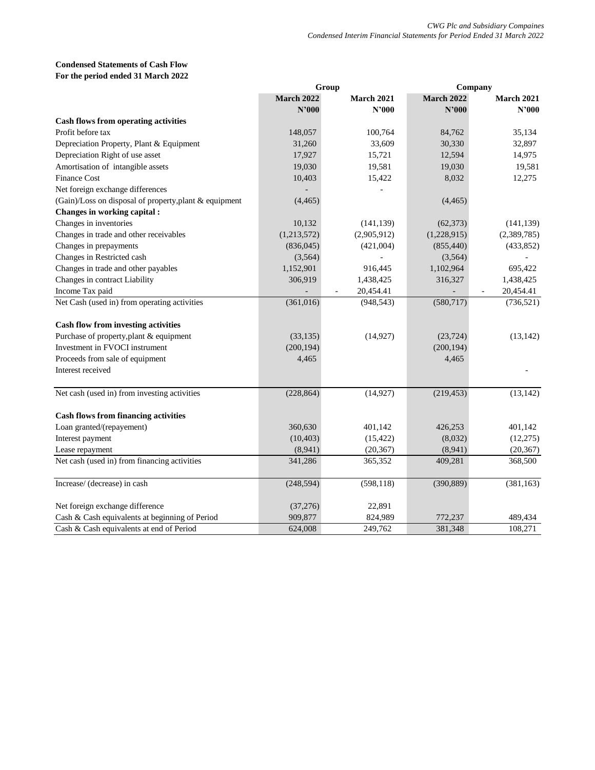# **Condensed Statements of Cash Flow For the period ended 31 March 2022**

|                                                        | Group             |                   |                   | Company           |  |
|--------------------------------------------------------|-------------------|-------------------|-------------------|-------------------|--|
|                                                        | <b>March 2022</b> | <b>March 2021</b> | <b>March 2022</b> | <b>March 2021</b> |  |
|                                                        | N'000             | N'000             | N'000             | N'000             |  |
| <b>Cash flows from operating activities</b>            |                   |                   |                   |                   |  |
| Profit before tax                                      | 148,057           | 100,764           | 84,762            | 35,134            |  |
| Depreciation Property, Plant & Equipment               | 31,260            | 33,609            | 30,330            | 32,897            |  |
| Depreciation Right of use asset                        | 17,927            | 15,721            | 12,594            | 14,975            |  |
| Amortisation of intangible assets                      | 19,030            | 19,581            | 19,030            | 19,581            |  |
| <b>Finance Cost</b>                                    | 10,403            | 15,422            | 8,032             | 12,275            |  |
| Net foreign exchange differences                       |                   |                   |                   |                   |  |
| (Gain)/Loss on disposal of property, plant & equipment | (4, 465)          |                   | (4, 465)          |                   |  |
| <b>Changes in working capital:</b>                     |                   |                   |                   |                   |  |
| Changes in inventories                                 | 10,132            | (141, 139)        | (62, 373)         | (141, 139)        |  |
| Changes in trade and other receivables                 | (1,213,572)       | (2,905,912)       | (1,228,915)       | (2,389,785)       |  |
| Changes in prepayments                                 | (836, 045)        | (421,004)         | (855, 440)        | (433, 852)        |  |
| Changes in Restricted cash                             | (3,564)           |                   | (3,564)           |                   |  |
| Changes in trade and other payables                    | 1,152,901         | 916,445           | 1,102,964         | 695,422           |  |
| Changes in contract Liability                          | 306,919           | 1,438,425         | 316,327           | 1,438,425         |  |
| Income Tax paid                                        |                   | 20,454.41         |                   | 20,454.41         |  |
| Net Cash (used in) from operating activities           | (361,016)         | (948, 543)        | (580, 717)        | (736,521)         |  |
| <b>Cash flow from investing activities</b>             |                   |                   |                   |                   |  |
| Purchase of property, plant & equipment                | (33, 135)         | (14, 927)         | (23, 724)         | (13, 142)         |  |
| Investment in FVOCI instrument                         | (200, 194)        |                   | (200, 194)        |                   |  |
| Proceeds from sale of equipment                        | 4,465             |                   | 4,465             |                   |  |
| Interest received                                      |                   |                   |                   |                   |  |
| Net cash (used in) from investing activities           | (228, 864)        | (14, 927)         | (219, 453)        | (13, 142)         |  |
| <b>Cash flows from financing activities</b>            |                   |                   |                   |                   |  |
| Loan granted/(repayement)                              | 360,630           | 401,142           | 426,253           | 401,142           |  |
| Interest payment                                       | (10, 403)         | (15, 422)         | (8,032)           | (12,275)          |  |
| Lease repayment                                        | (8,941)           | (20, 367)         | (8,941)           | (20, 367)         |  |
| Net cash (used in) from financing activities           | 341,286           | 365,352           | 409,281           | 368,500           |  |
| Increase/ (decrease) in cash                           | (248, 594)        | (598, 118)        | (390, 889)        | (381, 163)        |  |
| Net foreign exchange difference                        | (37,276)          | 22,891            |                   |                   |  |
| Cash & Cash equivalents at beginning of Period         | 909,877           | 824,989           | 772,237           | 489,434           |  |
| Cash & Cash equivalents at end of Period               | 624,008           | 249,762           | 381,348           | 108,271           |  |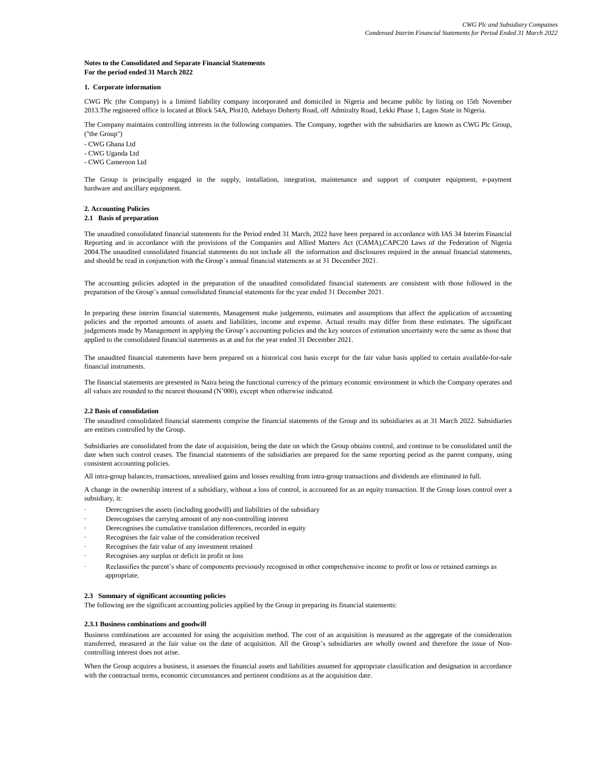# **Notes to the Consolidated and Separate Financial Statements For the period ended 31 March 2022**

# **1. Corporate information**

- CWG Ghana Ltd
- CWG Uganda Ltd
- CWG Cameroon Ltd

# **2. Accounting Policies**

## **2.1 Basis of preparation**

# **2.2 Basis of consolidation**

# **2.3 Summary of significant accounting policies**

The following are the significant accounting policies applied by the Group in preparing its financial statements:

## **2.3.1 Business combinations and goodwill**

The unaudited financial statements have been prepared on a historical cost basis except for the fair value basis applied to certain available-for-sale financial instruments.

The financial statements are presented in Naira being the functional currency of the primary economic environment in which the Company operates and all values are rounded to the nearest thousand (N'000), except when otherwise indicated.

The unaudited consolidated financial statements comprise the financial statements of the Group and its subsidiaries as at 31 March 2022. Subsidiaries are entities controlled by the Group.

Subsidiaries are consolidated from the date of acquisition, being the date on which the Group obtains control, and continue to be consolidated until the date when such control ceases. The financial statements of the subsidiaries are prepared for the same reporting period as the parent company, using consistent accounting policies.

All intra-group balances, transactions, unrealised gains and losses resulting from intra-group transactions and dividends are eliminated in full.

A change in the ownership interest of a subsidiary, without a loss of control, is accounted for as an equity transaction. If the Group loses control over a subsidiary, it:

- Derecognises the assets (including goodwill) and liabilities of the subsidiary
- Derecognises the carrying amount of any non-controlling interest
- Derecognises the cumulative translation differences, recorded in equity
- Recognises the fair value of the consideration received
- Recognises the fair value of any investment retained
- Recognises any surplus or deficit in profit or loss
- Reclassifies the parent's share of components previously recognised in other comprehensive income to profit or loss or retained earnings as appropriate.

CWG Plc (the Company) is a limited liability company incorporated and domiciled in Nigeria and became public by listing on 15th November 2013.The registered office is located at Block 54A, Plot10, Adebayo Doherty Road, off Admiralty Road, Lekki Phase 1, Lagos State in Nigeria.

When the Group acquires a business, it assesses the financial assets and liabilities assumed for appropriate classification and designation in accordance with the contractual terms, economic circumstances and pertinent conditions as at the acquisition date.

The Company maintains controlling interests in the following companies. The Company, together with the subsidiaries are known as CWG Plc Group, ("the Group")

The Group is principally engaged in the supply, installation, integration, maintenance and support of computer equipment, e-payment hardware and ancillary equipment.

The unaudited consolidated financial statements for the Period ended 31 March, 2022 have been prepared in accordance with IAS 34 Interim Financial Reporting and in accordance with the provisions of the Companies and Allied Matters Act (CAMA),CAPC20 Laws of the Federation of Nigeria 2004.The unaudited consolidated financial statements do not include all the information and disclosures required in the annual financial statements, and should be read in conjunction with the Group's annual financial statements as at 31 December 2021.

The accounting policies adopted in the preparation of the unaudited consolidated financial statements are consistent with those followed in the preparation of the Group's annual consolidated financial statements for the year ended 31 December 2021.

In preparing these interim financial statements, Management make judgements, estimates and assumptions that affect the application of accounting policies and the reported amounts of assets and liabilities, income and expense. Actual results may differ from these estimates. The significant judgements made by Management in applying the Group's accounting policies and the key sources of estimation uncertainty were the same as those that applied to the consolidated financial statements as at and for the year ended 31 December 2021.

Business combinations are accounted for using the acquisition method. The cost of an acquisition is measured as the aggregate of the consideration transferred, measured at the fair value on the date of acquisition. All the Group's subsidiaries are wholly owned and therefore the issue of Noncontrolling interest does not arise.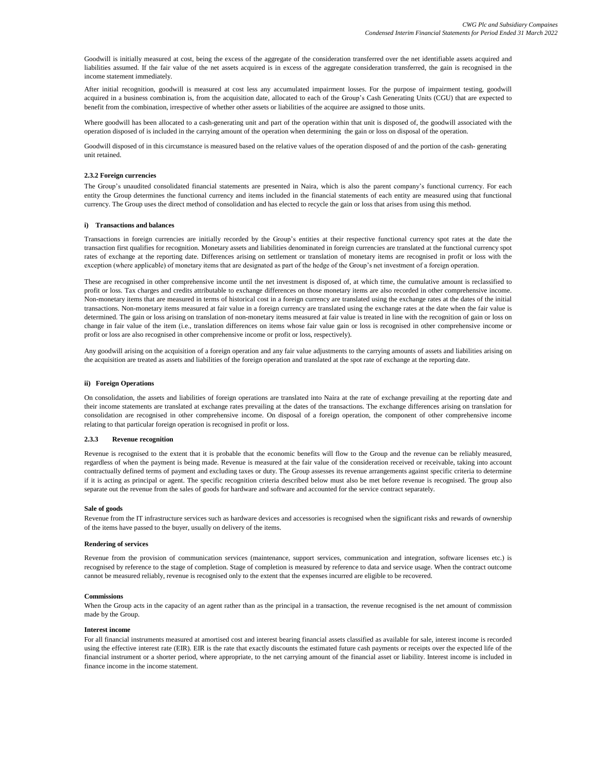## **2.3.2 Foreign currencies**

#### **i) Transactions and balances**

# **ii) Foreign Operations**

## **2.3.3 Revenue recognition**

#### **Sale of goods**

## **Rendering of services**

#### **Commissions**

#### **Interest income**

Goodwill disposed of in this circumstance is measured based on the relative values of the operation disposed of and the portion of the cash- generating unit retained.

The Group's unaudited consolidated financial statements are presented in Naira, which is also the parent company's functional currency. For each entity the Group determines the functional currency and items included in the financial statements of each entity are measured using that functional currency. The Group uses the direct method of consolidation and has elected to recycle the gain or loss that arises from using this method.

Transactions in foreign currencies are initially recorded by the Group's entities at their respective functional currency spot rates at the date the transaction first qualifies for recognition. Monetary assets and liabilities denominated in foreign currencies are translated at the functional currency spot rates of exchange at the reporting date. Differences arising on settlement or translation of monetary items are recognised in profit or loss with the exception (where applicable) of monetary items that are designated as part of the hedge of the Group's net investment of a foreign operation.

These are recognised in other comprehensive income until the net investment is disposed of, at which time, the cumulative amount is reclassified to profit or loss. Tax charges and credits attributable to exchange differences on those monetary items are also recorded in other comprehensive income. Non-monetary items that are measured in terms of historical cost in a foreign currency are translated using the exchange rates at the dates of the initial transactions. Non-monetary items measured at fair value in a foreign currency are translated using the exchange rates at the date when the fair value is determined. The gain or loss arising on translation of non-monetary items measured at fair value is treated in line with the recognition of gain or loss on change in fair value of the item (i.e., translation differences on items whose fair value gain or loss is recognised in other comprehensive income or profit or loss are also recognised in other comprehensive income or profit or loss, respectively).

Any goodwill arising on the acquisition of a foreign operation and any fair value adjustments to the carrying amounts of assets and liabilities arising on the acquisition are treated as assets and liabilities of the foreign operation and translated at the spot rate of exchange at the reporting date.

On consolidation, the assets and liabilities of foreign operations are translated into Naira at the rate of exchange prevailing at the reporting date and their income statements are translated at exchange rates prevailing at the dates of the transactions. The exchange differences arising on translation for consolidation are recognised in other comprehensive income. On disposal of a foreign operation, the component of other comprehensive income relating to that particular foreign operation is recognised in profit or loss.

Goodwill is initially measured at cost, being the excess of the aggregate of the consideration transferred over the net identifiable assets acquired and liabilities assumed. If the fair value of the net assets acquired is in excess of the aggregate consideration transferred, the gain is recognised in the income statement immediately.

After initial recognition, goodwill is measured at cost less any accumulated impairment losses. For the purpose of impairment testing, goodwill acquired in a business combination is, from the acquisition date, allocated to each of the Group's Cash Generating Units (CGU) that are expected to benefit from the combination, irrespective of whether other assets or liabilities of the acquiree are assigned to those units.

Where goodwill has been allocated to a cash-generating unit and part of the operation within that unit is disposed of, the goodwill associated with the operation disposed of is included in the carrying amount of the operation when determining the gain or loss on disposal of the operation.

Revenue is recognised to the extent that it is probable that the economic benefits will flow to the Group and the revenue can be reliably measured, regardless of when the payment is being made. Revenue is measured at the fair value of the consideration received or receivable, taking into account contractually defined terms of payment and excluding taxes or duty. The Group assesses its revenue arrangements against specific criteria to determine if it is acting as principal or agent. The specific recognition criteria described below must also be met before revenue is recognised. The group also separate out the revenue from the sales of goods for hardware and software and accounted for the service contract separately.

Revenue from the IT infrastructure services such as hardware devices and accessories is recognised when the significant risks and rewards of ownership

of the items have passed to the buyer, usually on delivery of the items.

Revenue from the provision of communication services (maintenance, support services, communication and integration, software licenses etc.) is recognised by reference to the stage of completion. Stage of completion is measured by reference to data and service usage. When the contract outcome cannot be measured reliably, revenue is recognised only to the extent that the expenses incurred are eligible to be recovered.

When the Group acts in the capacity of an agent rather than as the principal in a transaction, the revenue recognised is the net amount of commission made by the Group.

For all financial instruments measured at amortised cost and interest bearing financial assets classified as available for sale, interest income is recorded using the effective interest rate (EIR). EIR is the rate that exactly discounts the estimated future cash payments or receipts over the expected life of the financial instrument or a shorter period, where appropriate, to the net carrying amount of the financial asset or liability. Interest income is included in finance income in the income statement.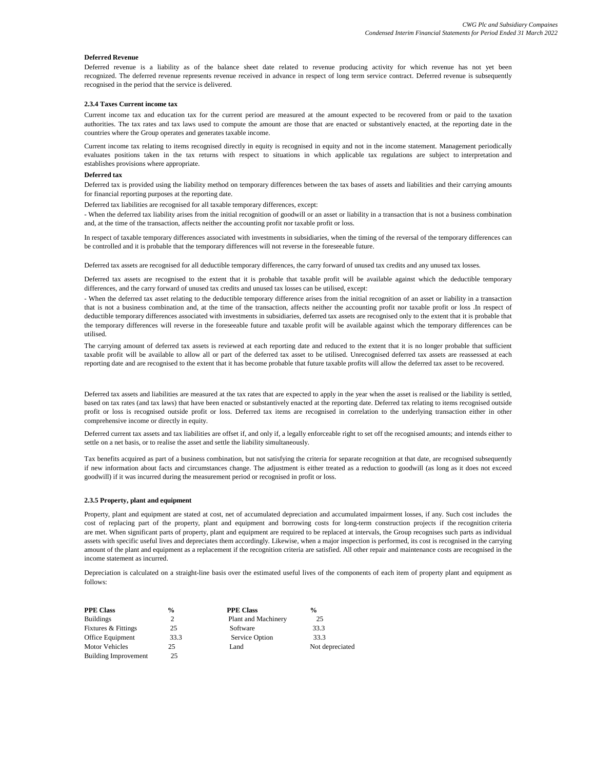#### **Deferred Revenue**

#### **2.3.4 Taxes Current income tax**

#### **Deferred tax**

Deferred tax liabilities are recognised for all taxable temporary differences, except:

## **2.3.5 Property, plant and equipment**

| <b>PPE Class</b>            | $\frac{6}{9}$ | <b>PPE Class</b>           | $\frac{0}{0}$   |
|-----------------------------|---------------|----------------------------|-----------------|
| <b>Buildings</b>            |               | <b>Plant and Machinery</b> | 25              |
| Fixtures & Fittings         | 25            | Software                   | 33.3            |
| Office Equipment            | 33.3          | Service Option             | 33.3            |
| <b>Motor Vehicles</b>       | 25            | Land                       | Not depreciated |
| <b>Building Improvement</b> | 25            |                            |                 |

Current income tax and education tax for the current period are measured at the amount expected to be recovered from or paid to the taxation authorities. The tax rates and tax laws used to compute the amount are those that are enacted or substantively enacted, at the reporting date in the countries where the Group operates and generates taxable income.

Current income tax relating to items recognised directly in equity is recognised in equity and not in the income statement. Management periodically evaluates positions taken in the tax returns with respect to situations in which applicable tax regulations are subject to interpretation and establishes provisions where appropriate.

Deferred tax is provided using the liability method on temporary differences between the tax bases of assets and liabilities and their carrying amounts for financial reporting purposes at the reporting date.

- When the deferred tax liability arises from the initial recognition of goodwill or an asset or liability in a transaction that is not a business combination and, at the time of the transaction, affects neither the accounting profit nor taxable profit or loss.

In respect of taxable temporary differences associated with investments in subsidiaries, when the timing of the reversal of the temporary differences can be controlled and it is probable that the temporary differences will not reverse in the foreseeable future.

Deferred tax assets are recognised for all deductible temporary differences, the carry forward of unused tax credits and any unused tax losses.

Deferred revenue is a liability as of the balance sheet date related to revenue producing activity for which revenue has not yet been recognized. The deferred revenue represents revenue received in advance in respect of long term service contract. Deferred revenue is subsequently recognised in the period that the service is delivered.

Property, plant and equipment are stated at cost, net of accumulated depreciation and accumulated impairment losses, if any. Such cost includes the cost of replacing part of the property, plant and equipment and borrowing costs for long-term construction projects if the recognition criteria are met. When significant parts of property, plant and equipment are required to be replaced at intervals, the Group recognises such parts as individual assets with specific useful lives and depreciates them accordingly. Likewise, when a major inspection is performed, its cost is recognised in the carrying amount of the plant and equipment as a replacement if the recognition criteria are satisfied. All other repair and maintenance costs are recognised in the income statement as incurred.

Depreciation is calculated on a straight-line basis over the estimated useful lives of the components of each item of property plant and equipment as follows:

Deferred tax assets are recognised to the extent that it is probable that taxable profit will be available against which the deductible temporary differences, and the carry forward of unused tax credits and unused tax losses can be utilised, except:

- When the deferred tax asset relating to the deductible temporary difference arises from the initial recognition of an asset or liability in a transaction that is not a business combination and, at the time of the transaction, affects neither the accounting profit nor taxable profit or loss .In respect of deductible temporary differences associated with investments in subsidiaries, deferred tax assets are recognised only to the extent that it is probable that the temporary differences will reverse in the foreseeable future and taxable profit will be available against which the temporary differences can be utilised.

The carrying amount of deferred tax assets is reviewed at each reporting date and reduced to the extent that it is no longer probable that sufficient taxable profit will be available to allow all or part of the deferred tax asset to be utilised. Unrecognised deferred tax assets are reassessed at each reporting date and are recognised to the extent that it has become probable that future taxable profits will allow the deferred tax asset to be recovered.

Deferred tax assets and liabilities are measured at the tax rates that are expected to apply in the year when the asset is realised or the liability is settled, based on tax rates (and tax laws) that have been enacted or substantively enacted at the reporting date. Deferred tax relating to items recognised outside profit or loss is recognised outside profit or loss. Deferred tax items are recognised in correlation to the underlying transaction either in other comprehensive income or directly in equity.

Deferred current tax assets and tax liabilities are offset if, and only if, a legally enforceable right to set off the recognised amounts; and intends either to settle on a net basis, or to realise the asset and settle the liability simultaneously.

Tax benefits acquired as part of a business combination, but not satisfying the criteria for separate recognition at that date, are recognised subsequently if new information about facts and circumstances change. The adjustment is either treated as a reduction to goodwill (as long as it does not exceed goodwill) if it was incurred during the measurement period or recognised in profit or loss.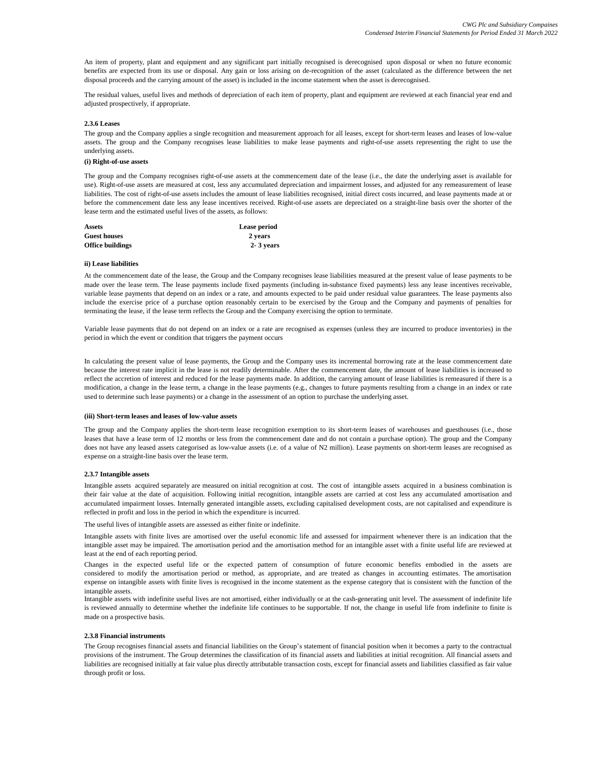## **2.3.6 Leases**

## **(i) Right-of-use assets**

| <b>Assets</b>           | Lease period  |
|-------------------------|---------------|
| <b>Guest houses</b>     | 2 years       |
| <b>Office buildings</b> | $2 - 3$ years |

## **ii) Lease liabilities**

## **(iii) Short-term leases and leases of low-value assets**

## **2.3.7 Intangible assets**

The useful lives of intangible assets are assessed as either finite or indefinite.

## **2.3.8 Financial instruments**

An item of property, plant and equipment and any significant part initially recognised is derecognised upon disposal or when no future economic benefits are expected from its use or disposal. Any gain or loss arising on de-recognition of the asset (calculated as the difference between the net disposal proceeds and the carrying amount of the asset) is included in the income statement when the asset is derecognised.

The residual values, useful lives and methods of depreciation of each item of property, plant and equipment are reviewed at each financial year end and adjusted prospectively, if appropriate.

The group and the Company applies a single recognition and measurement approach for all leases, except for short-term leases and leases of low-value assets. The group and the Company recognises lease liabilities to make lease payments and right-of-use assets representing the right to use the underlying assets.

The group and the Company recognises right-of-use assets at the commencement date of the lease (i.e., the date the underlying asset is available for use). Right-of-use assets are measured at cost, less any accumulated depreciation and impairment losses, and adjusted for any remeasurement of lease liabilities. The cost of right-of-use assets includes the amount of lease liabilities recognised, initial direct costs incurred, and lease payments made at or before the commencement date less any lease incentives received. Right-of-use assets are depreciated on a straight-line basis over the shorter of the lease term and the estimated useful lives of the assets, as follows:

Changes in the expected useful life or the expected pattern of consumption of future economic benefits embodied in the assets are considered to modify the amortisation period or method, as appropriate, and are treated as changes in accounting estimates. The amortisation expense on intangible assets with finite lives is recognised in the income statement as the expense category that is consistent with the function of the intangible assets.

Intangible assets with indefinite useful lives are not amortised, either individually or at the cash-generating unit level. The assessment of indefinite life is reviewed annually to determine whether the indefinite life continues to be supportable. If not, the change in useful life from indefinite to finite is made on a prospective basis.

The Group recognises financial assets and financial liabilities on the Group's statement of financial position when it becomes a party to the contractual provisions of the instrument. The Group determines the classification of its financial assets and liabilities at initial recognition. All financial assets and liabilities are recognised initially at fair value plus directly attributable transaction costs, except for financial assets and liabilities classified as fair value through profit or loss.

At the commencement date of the lease, the Group and the Company recognises lease liabilities measured at the present value of lease payments to be made over the lease term. The lease payments include fixed payments (including in-substance fixed payments) less any lease incentives receivable, variable lease payments that depend on an index or a rate, and amounts expected to be paid under residual value guarantees. The lease payments also include the exercise price of a purchase option reasonably certain to be exercised by the Group and the Company and payments of penalties for terminating the lease, if the lease term reflects the Group and the Company exercising the option to terminate.

Variable lease payments that do not depend on an index or a rate are recognised as expenses (unless they are incurred to produce inventories) in the period in which the event or condition that triggers the payment occurs

In calculating the present value of lease payments, the Group and the Company uses its incremental borrowing rate at the lease commencement date because the interest rate implicit in the lease is not readily determinable. After the commencement date, the amount of lease liabilities is increased to reflect the accretion of interest and reduced for the lease payments made. In addition, the carrying amount of lease liabilities is remeasured if there is a modification, a change in the lease term, a change in the lease payments (e.g., changes to future payments resulting from a change in an index or rate used to determine such lease payments) or a change in the assessment of an option to purchase the underlying asset.

The group and the Company applies the short-term lease recognition exemption to its short-term leases of warehouses and guesthouses (i.e., those leases that have a lease term of 12 months or less from the commencement date and do not contain a purchase option). The group and the Company does not have any leased assets categorised as low-value assets (i.e. of a value of N2 million). Lease payments on short-term leases are recognised as expense on a straight-line basis over the lease term.

Intangible assets acquired separately are measured on initial recognition at cost. The cost of intangible assets acquired in a business combination is their fair value at the date of acquisition. Following initial recognition, intangible assets are carried at cost less any accumulated amortisation and accumulated impairment losses. Internally generated intangible assets, excluding capitalised development costs, are not capitalised and expenditure is reflected in profit and loss in the period in which the expenditure is incurred.

Intangible assets with finite lives are amortised over the useful economic life and assessed for impairment whenever there is an indication that the intangible asset may be impaired. The amortisation period and the amortisation method for an intangible asset with a finite useful life are reviewed at least at the end of each reporting period.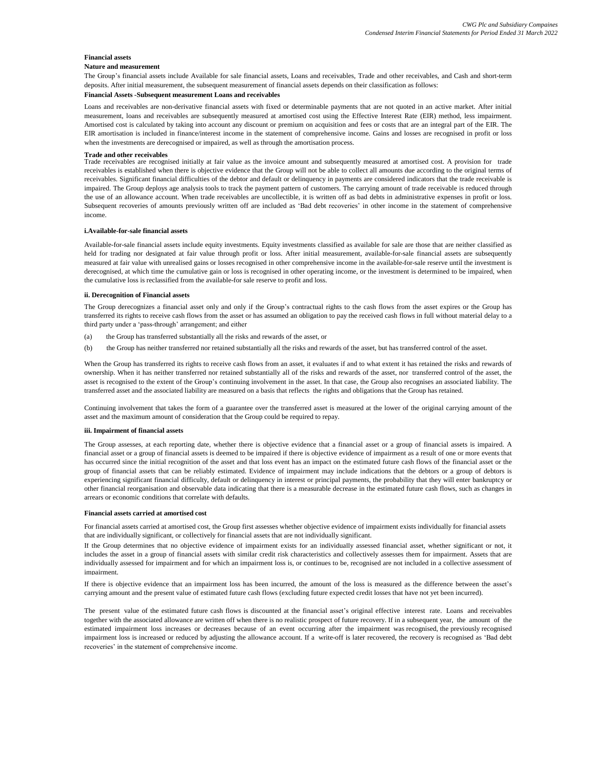#### **Financial assets**

#### **Nature and measurement**

#### **Financial Assets -Subsequent measurement Loans and receivables**

#### **Trade and other receivables**

#### **i.Available-for-sale financial assets**

## **ii. Derecognition of Financial assets**

## **iii. Impairment of financial assets**

## **Financial assets carried at amortised cost**

The Group's financial assets include Available for sale financial assets, Loans and receivables, Trade and other receivables, and Cash and short-term deposits. After initial measurement, the subsequent measurement of financial assets depends on their classification as follows:

Loans and receivables are non-derivative financial assets with fixed or determinable payments that are not quoted in an active market. After initial measurement, loans and receivables are subsequently measured at amortised cost using the Effective Interest Rate (EIR) method, less impairment. Amortised cost is calculated by taking into account any discount or premium on acquisition and fees or costs that are an integral part of the EIR. The EIR amortisation is included in finance/interest income in the statement of comprehensive income. Gains and losses are recognised in profit or loss when the investments are derecognised or impaired, as well as through the amortisation process.

Trade receivables are recognised initially at fair value as the invoice amount and subsequently measured at amortised cost. A provision for trade receivables is established when there is objective evidence that the Group will not be able to collect all amounts due according to the original terms of receivables. Significant financial difficulties of the debtor and default or delinquency in payments are considered indicators that the trade receivable is impaired. The Group deploys age analysis tools to track the payment pattern of customers. The carrying amount of trade receivable is reduced through the use of an allowance account. When trade receivables are uncollectible, it is written off as bad debts in administrative expenses in profit or loss. Subsequent recoveries of amounts previously written off are included as 'Bad debt recoveries' in other income in the statement of comprehensive income.

For financial assets carried at amortised cost, the Group first assesses whether objective evidence of impairment exists individually for financial assets that are individually significant, or collectively for financial assets that are not individually significant.

- (a) the Group has transferred substantially all the risks and rewards of the asset, or
- (b) the Group has neither transferred nor retained substantially all the risks and rewards of the asset, but has transferred control of the asset.

If the Group determines that no objective evidence of impairment exists for an individually assessed financial asset, whether significant or not, it includes the asset in a group of financial assets with similar credit risk characteristics and collectively assesses them for impairment. Assets that are individually assessed for impairment and for which an impairment loss is, or continues to be, recognised are not included in a collective assessment of impairment.

When the Group has transferred its rights to receive cash flows from an asset, it evaluates if and to what extent it has retained the risks and rewards of ownership. When it has neither transferred nor retained substantially all of the risks and rewards of the asset, nor transferred control of the asset, the asset is recognised to the extent of the Group's continuing involvement in the asset. In that case, the Group also recognises an associated liability. The transferred asset and the associated liability are measured on a basis that reflects the rights and obligations that the Group has retained.

If there is objective evidence that an impairment loss has been incurred, the amount of the loss is measured as the difference between the asset's carrying amount and the present value of estimated future cash flows (excluding future expected credit losses that have not yet been incurred).

The present value of the estimated future cash flows is discounted at the financial asset's original effective interest rate. Loans and receivables together with the associated allowance are written off when there is no realistic prospect of future recovery. If in a subsequent year, the amount of the estimated impairment loss increases or decreases because of an event occurring after the impairment was recognised, the previously recognised impairment loss is increased or reduced by adjusting the allowance account. If a write-off is later recovered, the recovery is recognised as 'Bad debt recoveries' in the statement of comprehensive income.

Available-for-sale financial assets include equity investments. Equity investments classified as available for sale are those that are neither classified as held for trading nor designated at fair value through profit or loss. After initial measurement, available-for-sale financial assets are subsequently measured at fair value with unrealised gains or losses recognised in other comprehensive income in the available-for-sale reserve until the investment is derecognised, at which time the cumulative gain or loss is recognised in other operating income, or the investment is determined to be impaired, when the cumulative loss is reclassified from the available-for sale reserve to profit and loss.

The Group derecognizes a financial asset only and only if the Group's contractual rights to the cash flows from the asset expires or the Group has transferred its rights to receive cash flows from the asset or has assumed an obligation to pay the received cash flows in full without material delay to a third party under a 'pass-through' arrangement; and either

Continuing involvement that takes the form of a guarantee over the transferred asset is measured at the lower of the original carrying amount of the asset and the maximum amount of consideration that the Group could be required to repay.

The Group assesses, at each reporting date, whether there is objective evidence that a financial asset or a group of financial assets is impaired. A financial asset or a group of financial assets is deemed to be impaired if there is objective evidence of impairment as a result of one or more events that has occurred since the initial recognition of the asset and that loss event has an impact on the estimated future cash flows of the financial asset or the group of financial assets that can be reliably estimated. Evidence of impairment may include indications that the debtors or a group of debtors is experiencing significant financial difficulty, default or delinquency in interest or principal payments, the probability that they will enter bankruptcy or other financial reorganisation and observable data indicating that there is a measurable decrease in the estimated future cash flows, such as changes in arrears or economic conditions that correlate with defaults.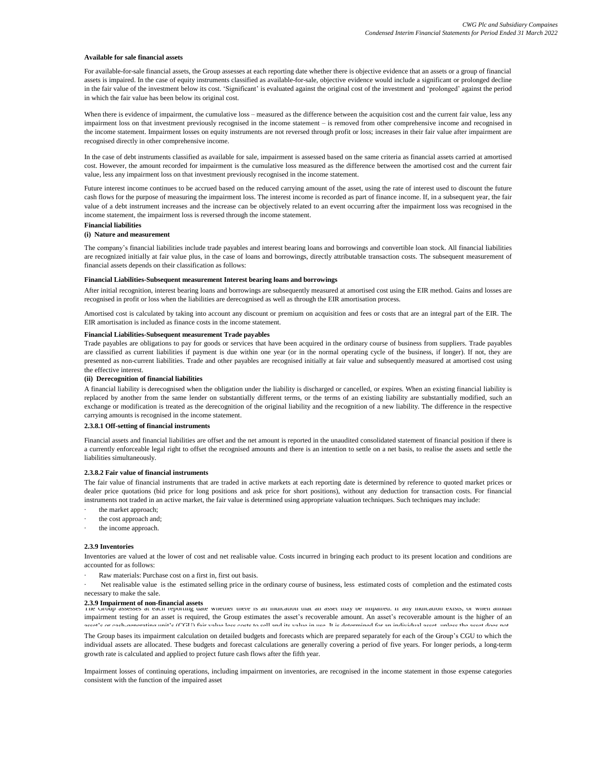#### **Available for sale financial assets**

#### **Financial liabilities**

#### **(i) Nature and measurement**

## **Financial Liabilities-Subsequent measurement Interest bearing loans and borrowings**

## **Financial Liabilities-Subsequent measurement Trade payables**

## **(ii) Derecognition of financial liabilities**

## **2.3.8.1 Off-setting of financial instruments**

## **2.3.8.2 Fair value of financial instruments**

# **2.3.9 Inventories**

# **2.3.9 Impairment of non-financial assets**

The Group assesses at each reporting date whether there is an indication that an asset may be impaired. If any indication exists, or when annual impairment testing for an asset is required, the Group estimates the asset's recoverable amount. An asset's recoverable amount is the higher of an asset's or cash-generating unit's (CGU) fair value less costs to sell and its value in use. It is determined for an individual asset, unless the asset does not

When there is evidence of impairment, the cumulative loss – measured as the difference between the acquisition cost and the current fair value, less any impairment loss on that investment previously recognised in the income statement – is removed from other comprehensive income and recognised in the income statement. Impairment losses on equity instruments are not reversed through profit or loss; increases in their fair value after impairment are recognised directly in other comprehensive income.

For available-for-sale financial assets, the Group assesses at each reporting date whether there is objective evidence that an assets or a group of financial assets is impaired. In the case of equity instruments classified as available-for-sale, objective evidence would include a significant or prolonged decline in the fair value of the investment below its cost. 'Significant' is evaluated against the original cost of the investment and 'prolonged' against the period in which the fair value has been below its original cost.

- Raw materials: Purchase cost on a first in, first out basis.
- Net realisable value is the estimated selling price in the ordinary course of business, less estimated costs of completion and the estimated costs necessary to make the sale.

A financial liability is derecognised when the obligation under the liability is discharged or cancelled, or expires. When an existing financial liability is replaced by another from the same lender on substantially different terms, or the terms of an existing liability are substantially modified, such an exchange or modification is treated as the derecognition of the original liability and the recognition of a new liability. The difference in the respective carrying amounts is recognised in the income statement.

Financial assets and financial liabilities are offset and the net amount is reported in the unaudited consolidated statement of financial position if there is a currently enforceable legal right to offset the recognised amounts and there is an intention to settle on a net basis, to realise the assets and settle the liabilities simultaneously.

The fair value of financial instruments that are traded in active markets at each reporting date is determined by reference to quoted market prices or dealer price quotations (bid price for long positions and ask price for short positions), without any deduction for transaction costs. For financial instruments not traded in an active market, the fair value is determined using appropriate valuation techniques. Such techniques may include:

- the market approach;
- the cost approach and;
- the income approach.

Inventories are valued at the lower of cost and net realisable value. Costs incurred in bringing each product to its present location and conditions are accounted for as follows:

In the case of debt instruments classified as available for sale, impairment is assessed based on the same criteria as financial assets carried at amortised cost. However, the amount recorded for impairment is the cumulative loss measured as the difference between the amortised cost and the current fair value, less any impairment loss on that investment previously recognised in the income statement.

Future interest income continues to be accrued based on the reduced carrying amount of the asset, using the rate of interest used to discount the future cash flows for the purpose of measuring the impairment loss. The interest income is recorded as part of finance income. If, in a subsequent year, the fair value of a debt instrument increases and the increase can be objectively related to an event occurring after the impairment loss was recognised in the income statement, the impairment loss is reversed through the income statement.

The company's financial liabilities include trade payables and interest bearing loans and borrowings and convertible loan stock. All financial liabilities are recognized initially at fair value plus, in the case of loans and borrowings, directly attributable transaction costs. The subsequent measurement of financial assets depends on their classification as follows:

After initial recognition, interest bearing loans and borrowings are subsequently measured at amortised cost using the EIR method. Gains and losses are recognised in profit or loss when the liabilities are derecognised as well as through the EIR amortisation process.

Amortised cost is calculated by taking into account any discount or premium on acquisition and fees or costs that are an integral part of the EIR. The EIR amortisation is included as finance costs in the income statement.

Trade payables are obligations to pay for goods or services that have been acquired in the ordinary course of business from suppliers. Trade payables are classified as current liabilities if payment is due within one year (or in the normal operating cycle of the business, if longer). If not, they are presented as non-current liabilities. Trade and other payables are recognised initially at fair value and subsequently measured at amortised cost using the effective interest.

The Group bases its impairment calculation on detailed budgets and forecasts which are prepared separately for each of the Group's CGU to which the individual assets are allocated. These budgets and forecast calculations are generally covering a period of five years. For longer periods, a long-term growth rate is calculated and applied to project future cash flows after the fifth year.

Impairment losses of continuing operations, including impairment on inventories, are recognised in the income statement in those expense categories consistent with the function of the impaired asset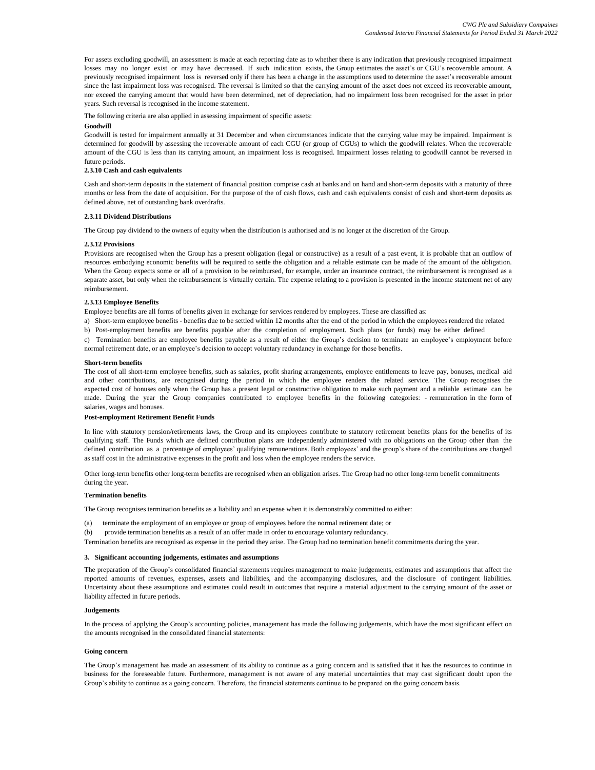The following criteria are also applied in assessing impairment of specific assets:

# **Goodwill**

## **2.3.10 Cash and cash equivalents**

## **2.3.11 Dividend Distributions**

The Group pay dividend to the owners of equity when the distribution is authorised and is no longer at the discretion of the Group.

## **2.3.12 Provisions**

## **2.3.13 Employee Benefits**

Employee benefits are all forms of benefits given in exchange for services rendered by employees. These are classified as:

## **Short-term benefits**

## **Post-employment Retirement Benefit Funds**

## **Termination benefits**

The Group recognises termination benefits as a liability and an expense when it is demonstrably committed to either:

(a) terminate the employment of an employee or group of employees before the normal retirement date; or

(b) provide termination benefits as a result of an offer made in order to encourage voluntary redundancy.

#### **3. Significant accounting judgements, estimates and assumptions**

#### **Judgements**

#### **Going concern**

- a) Short-term employee benefits benefits due to be settled within 12 months after the end of the period in which the employees rendered the related
- b) Post-employment benefits are benefits payable after the completion of employment. Such plans (or funds) may be either defined

c) Termination benefits are employee benefits payable as a result of either the Group's decision to terminate an employee's employment before normal retirement date, or an employee's decision to accept voluntary redundancy in exchange for those benefits.

The cost of all short-term employee benefits, such as salaries, profit sharing arrangements, employee entitlements to leave pay, bonuses, medical aid and other contributions, are recognised during the period in which the employee renders the related service. The Group recognises the expected cost of bonuses only when the Group has a present legal or constructive obligation to make such payment and a reliable estimate can be made. During the year the Group companies contributed to employee benefits in the following categories: - remuneration in the form of salaries, wages and bonuses.

In line with statutory pension/retirements laws, the Group and its employees contribute to statutory retirement benefits plans for the benefits of its qualifying staff. The Funds which are defined contribution plans are independently administered with no obligations on the Group other than the defined contribution as a percentage of employees' qualifying remunerations. Both employees' and the group's share of the contributions are charged as staff cost in the administrative expenses in the profit and loss when the employee renders the service.

Other long-term benefits other long-term benefits are recognised when an obligation arises. The Group had no other long-term benefit commitments during the year.

For assets excluding goodwill, an assessment is made at each reporting date as to whether there is any indication that previously recognised impairment losses may no longer exist or may have decreased. If such indication exists, the Group estimates the asset's or CGU's recoverable amount. A previously recognised impairment loss is reversed only if there has been a change in the assumptions used to determine the asset's recoverable amount since the last impairment loss was recognised. The reversal is limited so that the carrying amount of the asset does not exceed its recoverable amount, nor exceed the carrying amount that would have been determined, net of depreciation, had no impairment loss been recognised for the asset in prior years. Such reversal is recognised in the income statement.

Goodwill is tested for impairment annually at 31 December and when circumstances indicate that the carrying value may be impaired. Impairment is determined for goodwill by assessing the recoverable amount of each CGU (or group of CGUs) to which the goodwill relates. When the recoverable amount of the CGU is less than its carrying amount, an impairment loss is recognised. Impairment losses relating to goodwill cannot be reversed in future periods.

Cash and short-term deposits in the statement of financial position comprise cash at banks and on hand and short-term deposits with a maturity of three months or less from the date of acquisition. For the purpose of the of cash flows, cash and cash equivalents consist of cash and short-term deposits as defined above, net of outstanding bank overdrafts.

Provisions are recognised when the Group has a present obligation (legal or constructive) as a result of a past event, it is probable that an outflow of resources embodying economic benefits will be required to settle the obligation and a reliable estimate can be made of the amount of the obligation. When the Group expects some or all of a provision to be reimbursed, for example, under an insurance contract, the reimbursement is recognised as a separate asset, but only when the reimbursement is virtually certain. The expense relating to a provision is presented in the income statement net of any reimbursement.

Termination benefits are recognised as expense in the period they arise. The Group had no termination benefit commitments during the year.

The preparation of the Group's consolidated financial statements requires management to make judgements, estimates and assumptions that affect the reported amounts of revenues, expenses, assets and liabilities, and the accompanying disclosures, and the disclosure of contingent liabilities. Uncertainty about these assumptions and estimates could result in outcomes that require a material adjustment to the carrying amount of the asset or liability affected in future periods.

In the process of applying the Group's accounting policies, management has made the following judgements, which have the most significant effect on the amounts recognised in the consolidated financial statements:

The Group's management has made an assessment of its ability to continue as a going concern and is satisfied that it has the resources to continue in business for the foreseeable future. Furthermore, management is not aware of any material uncertainties that may cast significant doubt upon the Group's ability to continue as a going concern. Therefore, the financial statements continue to be prepared on the going concern basis.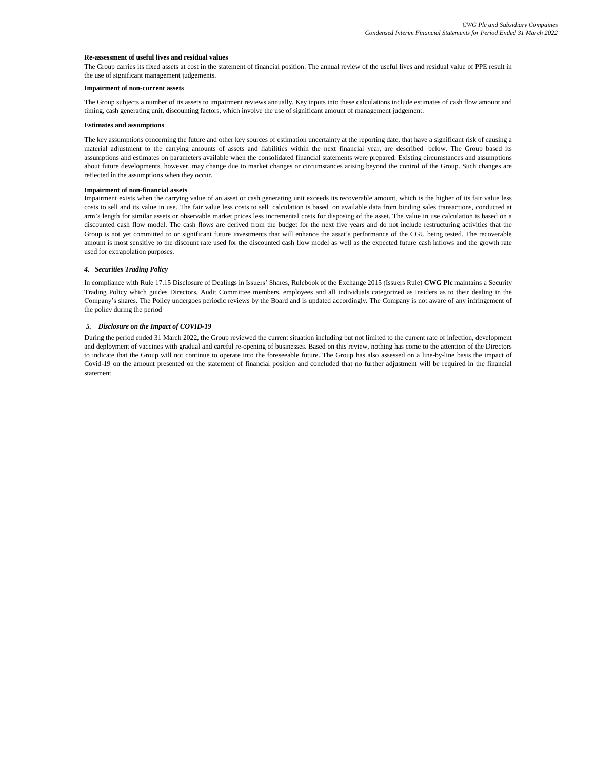#### **Re-assessment of useful lives and residual values**

#### **Impairment of non-current assets**

#### **Estimates and assumptions**

## **Impairment of non-financial assets**

## *4. Securities Trading Policy*

## *5. Disclosure on the Impact of COVID-19*

The key assumptions concerning the future and other key sources of estimation uncertainty at the reporting date, that have a significant risk of causing a material adjustment to the carrying amounts of assets and liabilities within the next financial year, are described below. The Group based its assumptions and estimates on parameters available when the consolidated financial statements were prepared. Existing circumstances and assumptions about future developments, however, may change due to market changes or circumstances arising beyond the control of the Group. Such changes are reflected in the assumptions when they occur.

Impairment exists when the carrying value of an asset or cash generating unit exceeds its recoverable amount, which is the higher of its fair value less costs to sell and its value in use. The fair value less costs to sell calculation is based on available data from binding sales transactions, conducted at arm's length for similar assets or observable market prices less incremental costs for disposing of the asset. The value in use calculation is based on a discounted cash flow model. The cash flows are derived from the budget for the next five years and do not include restructuring activities that the Group is not yet committed to or significant future investments that will enhance the asset's performance of the CGU being tested. The recoverable amount is most sensitive to the discount rate used for the discounted cash flow model as well as the expected future cash inflows and the growth rate used for extrapolation purposes.

In compliance with Rule 17.15 Disclosure of Dealings in Issuers' Shares, Rulebook of the Exchange 2015 (Issuers Rule) **CWG Plc** maintains a Security Trading Policy which guides Directors, Audit Committee members, employees and all individuals categorized as insiders as to their dealing in the Company's shares. The Policy undergoes periodic reviews by the Board and is updated accordingly. The Company is not aware of any infringement of the policy during the period

During the period ended 31 March 2022, the Group reviewed the current situation including but not limited to the current rate of infection, development and deployment of vaccines with gradual and careful re-opening of businesses. Based on this review, nothing has come to the attention of the Directors to indicate that the Group will not continue to operate into the foreseeable future. The Group has also assessed on a line-by-line basis the impact of Covid-19 on the amount presented on the statement of financial position and concluded that no further adjustment will be required in the financial statement

The Group carries its fixed assets at cost in the statement of financial position. The annual review of the useful lives and residual value of PPE result in the use of significant management judgements.

The Group subjects a number of its assets to impairment reviews annually. Key inputs into these calculations include estimates of cash flow amount and timing, cash generating unit, discounting factors, which involve the use of significant amount of management judgement.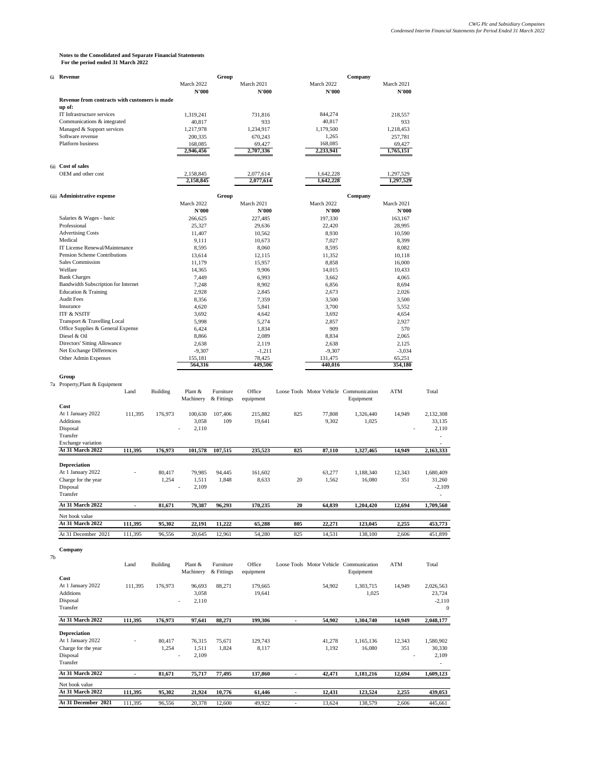# **Notes to the Consolidated and Separate Financial Statements For the period ended 31 March 2022**

**Group**

7a Property,Plant & Equipment

| 6i | <b>Revenue</b>                                |            | <b>Group</b> |            | Company    |  |  |
|----|-----------------------------------------------|------------|--------------|------------|------------|--|--|
|    |                                               | March 2022 | March 2021   | March 2022 | March 2021 |  |  |
|    |                                               | N'000      | N'000        | N'000      | N'000      |  |  |
|    | Revenue from contracts with customers is made |            |              |            |            |  |  |
|    | up of:                                        |            |              |            |            |  |  |
|    | IT Infrastructure services                    | 1,319,241  | 731,816      | 844,274    | 218,557    |  |  |
|    | Communications & integrated                   | 40,817     | 933          | 40,817     | 933        |  |  |
|    | Managed & Support services                    | 1,217,978  | 1,234,917    | 1,179,500  | 1,218,453  |  |  |
|    | Software revenue                              | 200,335    | 670,243      | 1,265      | 257,781    |  |  |
|    | Platform business                             | 168,085    | 69,427       | 168,085    | 69,427     |  |  |
|    |                                               | 2,946,456  | 2,707,336    | 2,233,941  | 1,765,151  |  |  |
|    | 6ii Cost of sales                             |            |              |            |            |  |  |
|    | OEM and other cost                            | 2,158,845  | 2,077,614    | 1,642,228  | 1,297,529  |  |  |
|    |                                               | 2,158,845  | 2,077,614    | 1,642,228  | 1,297,529  |  |  |
|    | <b>6iii Administrative expense</b>            |            | Group        | Company    |            |  |  |
|    |                                               | March 2022 | March 2021   | March 2022 | March 2021 |  |  |
|    |                                               | N'000      | N'000        | N'000      | N'000      |  |  |
|    | Salaries & Wages - basic                      | 266,625    | 227,485      | 197,330    | 163,167    |  |  |
|    | Professional                                  | 25,327     | 29,636       | 22,420     | 28,995     |  |  |
|    | <b>Advertising Costs</b>                      | 11,407     | 10,562       | 8,930      | 10,590     |  |  |
|    | Medical                                       | 9,111      | 10,673       | 7,027      | 8,399      |  |  |
|    | <b>IT License Renewal/Maintenance</b>         | 8,595      | 8,060        | 8,595      | 8,082      |  |  |
|    | <b>Pension Scheme Contributions</b>           | 13,614     | 12,115       | 11,352     | 10,118     |  |  |
|    | <b>Sales Commission</b>                       | 11,179     | 15,957       | 8,858      | 16,000     |  |  |
|    | Welfare                                       | 14,365     | 9,906        | 14,015     | 10,433     |  |  |
|    | <b>Bank Charges</b>                           | 7,449      | 6,993        | 3,662      | 4,065      |  |  |
|    | <b>Bandwidth Subscription for Internet</b>    | 7,248      | 8,902        | 6,856      | 8,694      |  |  |
|    | Education & Training                          | 2,928      | 2,845        | 2,673      | 2,026      |  |  |
|    | <b>Audit Fees</b>                             | 8,356      | 7,359        | 3,500      | 3,500      |  |  |
|    | Insurance                                     | 4,620      | 5,841        | 3,700      | 5,552      |  |  |
|    | <b>ITF &amp; NSITF</b>                        | 3,692      | 4,642        | 3,692      | 4,654      |  |  |
|    | Transport & Travelling Local                  | 5,998      | 5,274        | 2,857      | 2,927      |  |  |
|    | Office Supplies & General Expense             | 6,424      | 1,834        | 909        | 570        |  |  |
|    | Diesel & Oil                                  | 8,866      | 2,089        | 8,834      | 2,065      |  |  |
|    | <b>Directors' Sitting Allowance</b>           | 2,638      | 2,119        | 2,638      | 2,125      |  |  |
|    | Net Exchange Differences                      | $-9,307$   | $-1,211$     | $-9,307$   | $-3,034$   |  |  |
|    | Other Admin Expenses                          | 155,181    | 78,425       | 131,475    | 65,251     |  |  |
|    |                                               | 564,316    | 449,506      | 440,016    | 354,180    |  |  |

|                           | Land                     | <b>Building</b> | Plant &<br>Machinery | Furniture<br>& Fittings | Office<br>equipment |                |        | Loose Tools Motor Vehicle Communication<br>Equipment | <b>ATM</b> | Total          |
|---------------------------|--------------------------|-----------------|----------------------|-------------------------|---------------------|----------------|--------|------------------------------------------------------|------------|----------------|
| Cost                      |                          |                 |                      |                         |                     |                |        |                                                      |            |                |
| At 1 January 2022         | 111,395                  | 176,973         | 100,630              | 107,406                 | 215,882             | 825            | 77,808 | 1,326,440                                            | 14,949     | 2,132,308      |
| <b>Additions</b>          |                          |                 | 3,058                | 109                     | 19,641              |                | 9,302  | 1,025                                                |            | 33,135         |
| Disposal                  |                          |                 | 2,110                |                         |                     |                |        |                                                      |            | 2,110          |
| Transfer                  |                          |                 |                      |                         |                     |                |        |                                                      |            |                |
| Exchange variation        |                          |                 |                      |                         |                     |                |        |                                                      |            |                |
| <b>At 31 March 2022</b>   | 111,395                  | 176,973         | 101,578              | 107,515                 | 235,523             | 825            | 87,110 | 1,327,465                                            | 14,949     | 2,163,333      |
| <b>Depreciation</b>       |                          |                 |                      |                         |                     |                |        |                                                      |            |                |
| At 1 January 2022         | $\blacksquare$           | 80,417          | 79,985               | 94,445                  | 161,602             |                | 63,277 | 1,188,340                                            | 12,343     | 1,680,409      |
| Charge for the year       |                          | 1,254           | 1,511                | 1,848                   | 8,633               | 20             | 1,562  | 16,080                                               | 351        | 31,260         |
| Disposal                  |                          |                 | 2,109                |                         |                     |                |        |                                                      |            | $-2,109$       |
| Transfer                  |                          |                 |                      |                         |                     |                |        |                                                      |            |                |
| At 31 March 2022          | $\blacksquare$           | 81,671          | 79,387               | 96,293                  | 170,235             | 20             | 64,839 | 1,204,420                                            | 12,694     | 1,709,560      |
| Net book value            |                          |                 |                      |                         |                     |                |        |                                                      |            |                |
| <b>At 31 March 2022</b>   | 111,395                  | 95,302          | 22,191               | 11,222                  | 65,288              | 805            | 22,271 | 123,045                                              | 2,255      | 453,773        |
| At 31 December 2021       | 111,395                  | 96,556          | 20,645               | 12,961                  | 54,280              | 825            | 14,531 | 138,100                                              | 2,606      | 451,899        |
| Company<br>7 <sub>b</sub> |                          |                 |                      |                         |                     |                |        |                                                      |            |                |
|                           | Land                     | <b>Building</b> | Plant &<br>Machinery | Furniture<br>& Fittings | Office<br>equipment |                |        | Loose Tools Motor Vehicle Communication<br>Equipment | <b>ATM</b> | Total          |
| <b>Cost</b>               |                          |                 |                      |                         |                     |                |        |                                                      |            |                |
| At 1 January 2022         | 111,395                  | 176,973         | 96,693               | 88,271                  | 179,665             |                | 54,902 | 1,303,715                                            | 14,949     | 2,026,563      |
| <b>Additions</b>          |                          |                 | 3,058                |                         | 19,641              |                |        | 1,025                                                |            | 23,724         |
| Disposal                  |                          |                 | 2,110                |                         |                     |                |        |                                                      |            | $-2,110$       |
| Transfer                  |                          |                 |                      |                         |                     |                |        |                                                      |            | $\overline{0}$ |
| <b>At 31 March 2022</b>   | 111,395                  | 176,973         | 97,641               | 88,271                  | 199,306             |                | 54,902 | 1,304,740                                            | 14,949     | 2,048,177      |
| <b>Depreciation</b>       |                          |                 |                      |                         |                     |                |        |                                                      |            |                |
| At 1 January 2022         | $\overline{\phantom{a}}$ | 80,417          | 76,315               | 75,671                  | 129,743             |                | 41,278 | 1,165,136                                            | 12,343     | 1,580,902      |
| Charge for the year       |                          | 1,254           | 1,511                | 1,824                   | 8,117               |                | 1,192  | 16,080                                               | 351        | 30,330         |
| Disposal                  |                          |                 | 2,109                |                         |                     |                |        |                                                      |            | 2,109          |
| Transfer                  |                          |                 |                      |                         |                     |                |        |                                                      |            |                |
| <b>At 31 March 2022</b>   | $\blacksquare$           | 81,671          | 75,717               | 77,495                  | 137,860             | $\blacksquare$ | 42,471 | 1,181,216                                            | 12,694     | 1,609,123      |
| Net book value            |                          |                 |                      |                         |                     |                |        |                                                      |            |                |
| At 31 March 2022          | 111,395                  | 95,302          | 21,924               | 10,776                  | 61,446              |                | 12,431 | 123,524                                              | 2,255      | 439,053        |
| At 31 December 2021       | 111,395                  | 96,556          | 20,378               | 12,600                  | 49,922              |                | 13,624 | 138,579                                              | 2,606      | 445,661        |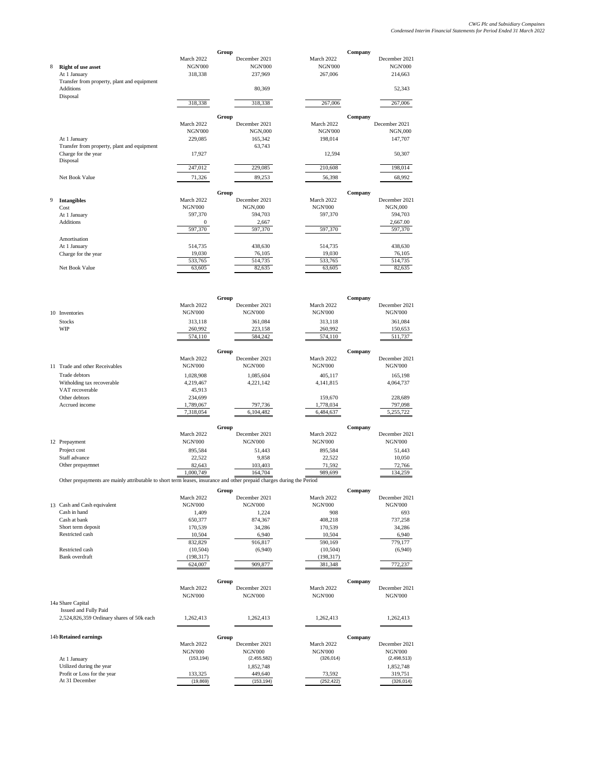|   |                                             |                | Group |                |                | Company |                |
|---|---------------------------------------------|----------------|-------|----------------|----------------|---------|----------------|
|   |                                             | March 2022     |       | December 2021  | March 2022     |         | December 2021  |
| 8 | <b>Right of use asset</b>                   | <b>NGN'000</b> |       | <b>NGN'000</b> | <b>NGN'000</b> |         | <b>NGN'000</b> |
|   | At 1 January                                | 318,338        |       | 237,969        | 267,006        |         | 214,663        |
|   | Transfer from property, plant and equipment |                |       |                |                |         |                |
|   | <b>Additions</b>                            |                |       | 80,369         |                |         | 52,343         |
|   | Disposal                                    |                |       |                |                |         |                |
|   |                                             | 318,338        |       | 318,338        | 267,006        |         | 267,006        |
|   |                                             |                |       |                |                |         |                |
|   |                                             |                | Group |                |                | Company |                |
|   |                                             | March 2022     |       | December 2021  | March 2022     |         | December 2021  |
|   |                                             | <b>NGN'000</b> |       | NGN,000        | <b>NGN'000</b> |         | <b>NGN,000</b> |
|   | At 1 January                                | 229,085        |       | 165,342        | 198,014        |         | 147,707        |
|   | Transfer from property, plant and equipment |                |       | 63,743         |                |         |                |
|   | Charge for the year                         | 17,927         |       |                | 12,594         |         | 50,307         |
|   | Disposal                                    |                |       |                |                |         |                |
|   |                                             | 247,012        |       | 229,085        | 210,608        |         | 198,014        |
|   | Net Book Value                              | 71,326         |       | 89,253         | 56,398         |         | 68,992         |
|   |                                             |                | Group |                |                | Company |                |
| 9 | <b>Intangibles</b>                          | March 2022     |       | December 2021  | March 2022     |         | December 2021  |
|   | Cost                                        | <b>NGN'000</b> |       | NGN,000        | <b>NGN'000</b> |         | NGN,000        |
|   | At 1 January                                | 597,370        |       | 594,703        | 597,370        |         | 594,703        |
|   | <b>Additions</b>                            | $\theta$       |       | 2,667          |                |         | 2,667.00       |
|   |                                             | 597,370        |       | 597,370        | 597,370        |         | 597,370        |
|   | Amortisation                                |                |       |                |                |         |                |
|   | At 1 January                                | 514,735        |       | 438,630        | 514,735        |         | 438,630        |
|   | Charge for the year                         | 19,030         |       | 76,105         | 19,030         |         | 76,105         |
|   |                                             | 533,765        |       | 514,735        | 533,765        |         | 514,735        |
|   | Net Book Value                              | 63,605         |       | 82,635         | 63,605         |         | 82,635         |
|   |                                             |                |       |                |                |         |                |
|   |                                             |                | Group |                |                | Company |                |
|   |                                             | March 2022     |       | December 2021  | March 2022     |         | December 2021  |
|   | 10 Inventories                              | <b>NGN'000</b> |       | <b>NGN'000</b> | <b>NGN'000</b> |         | <b>NGN'000</b> |
|   | <b>Stocks</b>                               | 313,118        |       | 361,084        | 313,118        |         | 361,084        |

| <b>WIP</b>                         | 260,992        | 223,158        | 260,992        | 150,653        |
|------------------------------------|----------------|----------------|----------------|----------------|
|                                    | 574,110        | 584,242        | 574,110        | 511,737        |
|                                    |                | Group          |                | Company        |
|                                    | March 2022     | December 2021  | March 2022     | December 2021  |
| Trade and other Receivables<br>11. | <b>NGN'000</b> | <b>NGN'000</b> | <b>NGN'000</b> | <b>NGN'000</b> |
| Trade debtors                      | 1,028,908      | 1,085,604      | 405,117        | 165,198        |
| Witholding tax recoverable         | 4,219,467      | 4,221,142      | 4, 141, 815    | 4,064,737      |
| VAT recoverable                    | 45,913         |                |                |                |
| Other debtors                      | 234,699        |                | 159,670        | 228,689        |
| Accrued income                     | 1,789,067      | 797,736        | 1,778,034      | 797,098        |
|                                    | 7,318,054      | 6,104,482      | 6,484,637      | 5,255,722      |

|                       |                                                                                                                       |                | Group          | Company        |                |
|-----------------------|-----------------------------------------------------------------------------------------------------------------------|----------------|----------------|----------------|----------------|
|                       |                                                                                                                       | March 2022     | December 2021  | March 2022     | December 2021  |
|                       | 12 Prepayment                                                                                                         | <b>NGN'000</b> | <b>NGN'000</b> | <b>NGN'000</b> | <b>NGN'000</b> |
|                       | Project cost                                                                                                          | 895,584        | 51,443         | 895,584        | 51,443         |
|                       | Staff advance                                                                                                         | 22,522         | 9,858          | 22,522         | 10,050         |
|                       | Other prepaymnet                                                                                                      | 82,643         | 103,403        | 71,592         | 72,766         |
|                       |                                                                                                                       | 1,000,749      | 164,704        | 989,699        | 134,259        |
|                       | Other prepayments are mainly attributable to short term leases, insurance and other prepaid charges during the Period |                |                |                |                |
|                       |                                                                                                                       |                | Group          | Company        |                |
|                       |                                                                                                                       | March 2022     | December 2021  | March 2022     | December 2021  |
|                       | 13 Cash and Cash equivalent                                                                                           | <b>NGN'000</b> | <b>NGN'000</b> | <b>NGN'000</b> | <b>NGN'000</b> |
|                       | Cash in hand                                                                                                          | 1,409          | 1,224          | 908            | 693            |
|                       | Cash at bank                                                                                                          | 650,377        | 874,367        | 408,218        | 737,258        |
|                       | Short term deposit                                                                                                    | 170,539        | 34,286         | 170,539        | 34,286         |
|                       | Restricted cash                                                                                                       | 10,504         | 6,940          | 10,504         | 6,940          |
|                       |                                                                                                                       | 832,829        | 916,817        | 590,169        | 779,177        |
|                       | Restricted cash                                                                                                       | (10,504)       | (6,940)        | (10,504)       | (6,940)        |
|                       | <b>Bank</b> overdraft                                                                                                 | (198, 317)     |                | (198, 317)     |                |
|                       |                                                                                                                       | 624,007        | 909,877        | 381,348        | 772,237        |
|                       |                                                                                                                       |                |                |                |                |
|                       |                                                                                                                       |                | Group          | Company        |                |
|                       |                                                                                                                       | March 2022     | December 2021  | March 2022     | December 2021  |
|                       |                                                                                                                       | <b>NGN'000</b> | <b>NGN'000</b> | <b>NGN'000</b> | <b>NGN'000</b> |
|                       | 14a Share Capital                                                                                                     |                |                |                |                |
|                       | Issued and Fully Paid                                                                                                 |                |                |                |                |
|                       | 2,524,826,359 Ordinary shares of 50k each                                                                             | 1,262,413      | 1,262,413      | 1,262,413      | 1,262,413      |
|                       |                                                                                                                       |                |                |                |                |
| 14b Retained earnings |                                                                                                                       |                | Group          | Company        |                |
|                       |                                                                                                                       | March 2022     | December 2021  | March 2022     | December 2021  |
|                       |                                                                                                                       | <b>NGN'000</b> | <b>NGN'000</b> | <b>NGN'000</b> | <b>NGN'000</b> |
|                       | At 1 January                                                                                                          | (153, 194)     | (2,455,582)    | (326, 014)     | (2,498,513)    |
|                       | Utilized during the year                                                                                              |                | 1,852,748      |                | 1,852,748      |
|                       | Profit or Loss for the year                                                                                           | 133,325        | 449,640        | 73,592         | 319,751        |
|                       | At 31 December                                                                                                        | (19, 869)      | (153, 194)     | (252, 422)     | (326, 014)     |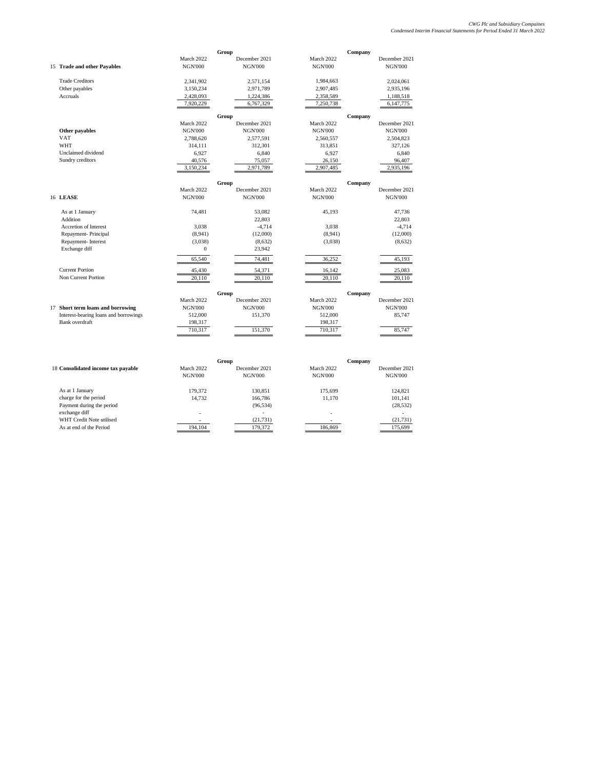|    |                                       |                | Group          |                | Company        |
|----|---------------------------------------|----------------|----------------|----------------|----------------|
|    |                                       | March 2022     | December 2021  | March 2022     | December 2021  |
|    | 15 Trade and other Payables           | <b>NGN'000</b> | <b>NGN'000</b> | <b>NGN'000</b> | <b>NGN'000</b> |
|    | <b>Trade Creditors</b>                | 2,341,902      | 2,571,154      | 1,984,663      | 2,024,061      |
|    | Other payables                        | 3,150,234      | 2,971,789      | 2,907,485      | 2,935,196      |
|    | Accruals                              | 2,428,093      | 1,224,386      | 2,358,589      | 1,188,518      |
|    |                                       | 7,920,229      | 6,767,329      | 7,250,738      | 6, 147, 775    |
|    |                                       |                | Group          |                | <b>Company</b> |
|    |                                       | March 2022     | December 2021  | March 2022     | December 2021  |
|    | <b>Other payables</b>                 | <b>NGN'000</b> | <b>NGN'000</b> | <b>NGN'000</b> | <b>NGN'000</b> |
|    | <b>VAT</b>                            | 2,788,620      | 2,577,591      | 2,560,557      | 2,504,823      |
|    | <b>WHT</b>                            | 314,111        | 312,301        | 313,851        | 327,126        |
|    | Unclaimed dividend                    | 6,927          | 6,840          | 6,927          | 6,840          |
|    | Sundry creditors                      | 40,576         | 75,057         | 26,150         | 96,407         |
|    |                                       | 3,150,234      | 2,971,789      | 2,907,485      | 2,935,196      |
|    |                                       |                | Group          |                | Company        |
|    |                                       | March 2022     | December 2021  | March 2022     | December 2021  |
|    | 16 LEASE                              | <b>NGN'000</b> | <b>NGN'000</b> | <b>NGN'000</b> | <b>NGN'000</b> |
|    | As at 1 January                       | 74,481         | 53,082         | 45,193         | 47,736         |
|    | Addition                              |                | 22,803         |                | 22,803         |
|    | <b>Accretion of Interest</b>          | 3,038          | $-4,714$       | 3,038          | $-4,714$       |
|    | Repayment-Principal                   | (8,941)        | (12,000)       | (8,941)        | (12,000)       |
|    | Repayment- Interest                   | (3,038)        | (8,632)        | (3,038)        | (8,632)        |
|    | Exchange diff                         | $\theta$       | 23,942         |                |                |
|    |                                       | 65,540         | 74,481         | 36,252         | 45,193         |
|    | <b>Current Portion</b>                | 45,430         | 54,371         | 16,142         | 25,083         |
|    | Non Current Portion                   | 20,110         | 20,110         | 20,110         | 20,110         |
|    |                                       |                | Group          | Company        |                |
|    |                                       | March 2022     | December 2021  | March 2022     | December 2021  |
| 17 | Short term loans and borrowing        | <b>NGN'000</b> | <b>NGN'000</b> | <b>NGN'000</b> | <b>NGN'000</b> |
|    | Interest-bearing loans and borrowings | 512,000        | 151,370        | 512,000        | 85,747         |
|    | Bank overdraft                        | 198,317        |                | 198,317        |                |
|    |                                       | 710,317        | 151,370        | 710,317        | 85,747         |

|                                    |                              | Group                              | Company                      |                                    |  |
|------------------------------------|------------------------------|------------------------------------|------------------------------|------------------------------------|--|
| 18 Consolidated income tax payable | March 2022<br><b>NGN'000</b> | December 2021<br><b>NGN'000</b>    | March 2022<br><b>NGN'000</b> | December 2021<br><b>NGN'000</b>    |  |
| As at 1 January                    | 179,372                      | 130,851                            | 175,699                      | 124,821                            |  |
| charge for the period              | 14,732                       | 166,786                            | 11,170                       | 101,141                            |  |
| Payment during the period          |                              | (96, 534)                          |                              | (28, 532)                          |  |
| exchange diff                      | $\overline{\phantom{a}}$     | $\overline{\phantom{0}}$           | $\overline{\phantom{0}}$     |                                    |  |
|                                    |                              | $\sim$ $\sim$ $\sim$ $\sim$ $\sim$ |                              | $\sim$ $\sim$ $\sim$ $\sim$ $\sim$ |  |

| $\cdots$<br><b>WHT</b><br>Note utilised<br>10A11 |                     | $\sqrt{2}$ $\sqrt{2}$<br>$\sim$    |             |      |
|--------------------------------------------------|---------------------|------------------------------------|-------------|------|
| of the<br><b>Period</b><br>end<br>AS.            | 104<br>1 Q $\Delta$ | $\sqrt{2}$<br>$\sim$ $\sim$<br>,,, | -86<br>.869 | .69c |